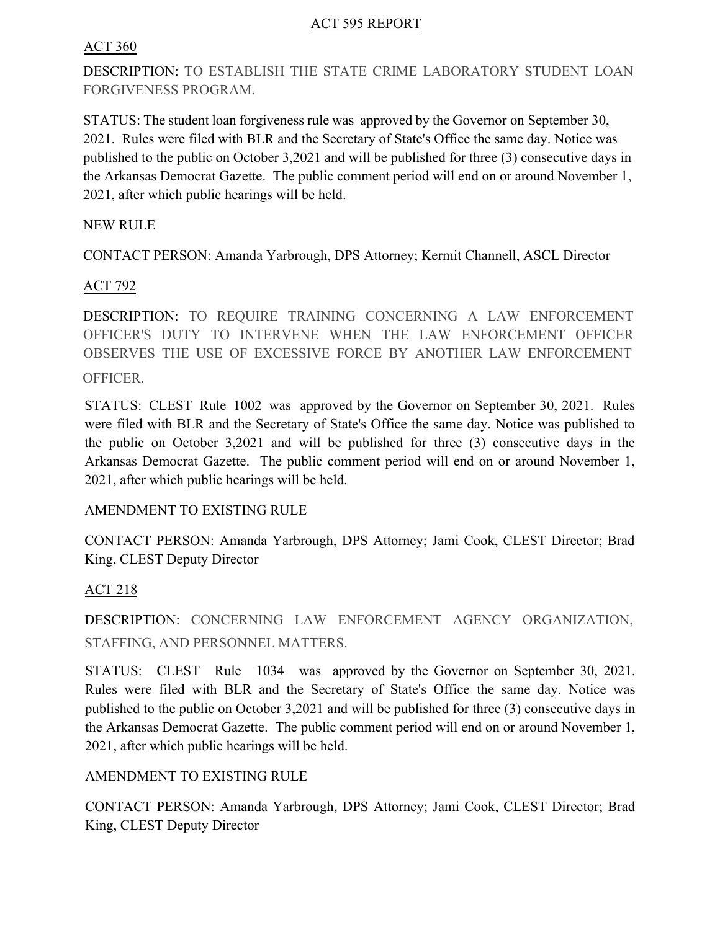### ACT 595 REPORT

### ACT 360

DESCRIPTION: TO ESTABLISH THE STATE CRIME LABORATORY STUDENT LOAN FORGIVENESS PROGRAM.

STATUS: The student loan forgiveness rule was approved by the Governor on September 30, 2021. Rules were filed with BLR and the Secretary of State's Office the same day. Notice was published to the public on October 3,2021 and will be published for three (3) consecutive days in the Arkansas Democrat Gazette. The public comment period will end on or around November 1, 2021, after which public hearings will be held.

NEW RULE

CONTACT PERSON: Amanda Yarbrough, DPS Attorney; Kermit Channell, ASCL Director

## ACT 792

DESCRIPTION: TO REQUIRE TRAINING CONCERNING A LAW ENFORCEMENT OFFICER'S DUTY TO INTERVENE WHEN THE LAW ENFORCEMENT OFFICER OBSERVES THE USE OF EXCESSIVE FORCE BY ANOTHER LAW ENFORCEMENT OFFICER.

STATUS: CLEST Rule 1002 was approved by the Governor on September 30, 2021. Rules were filed with BLR and the Secretary of State's Office the same day. Notice was published to the public on October 3,2021 and will be published for three (3) consecutive days in the Arkansas Democrat Gazette. The public comment period will end on or around November 1, 2021, after which public hearings will be held.

## AMENDMENT TO EXISTING RULE

CONTACT PERSON: Amanda Yarbrough, DPS Attorney; Jami Cook, CLEST Director; Brad King, CLEST Deputy Director

# ACT 218

DESCRIPTION: CONCERNING LAW ENFORCEMENT AGENCY ORGANIZATION, STAFFING, AND PERSONNEL MATTERS.

STATUS: CLEST Rule 1034 was approved by the Governor on September 30, 2021. Rules were filed with BLR and the Secretary of State's Office the same day. Notice was published to the public on October 3,2021 and will be published for three (3) consecutive days in the Arkansas Democrat Gazette. The public comment period will end on or around November 1, 2021, after which public hearings will be held.

## AMENDMENT TO EXISTING RULE

CONTACT PERSON: Amanda Yarbrough, DPS Attorney; Jami Cook, CLEST Director; Brad King, CLEST Deputy Director